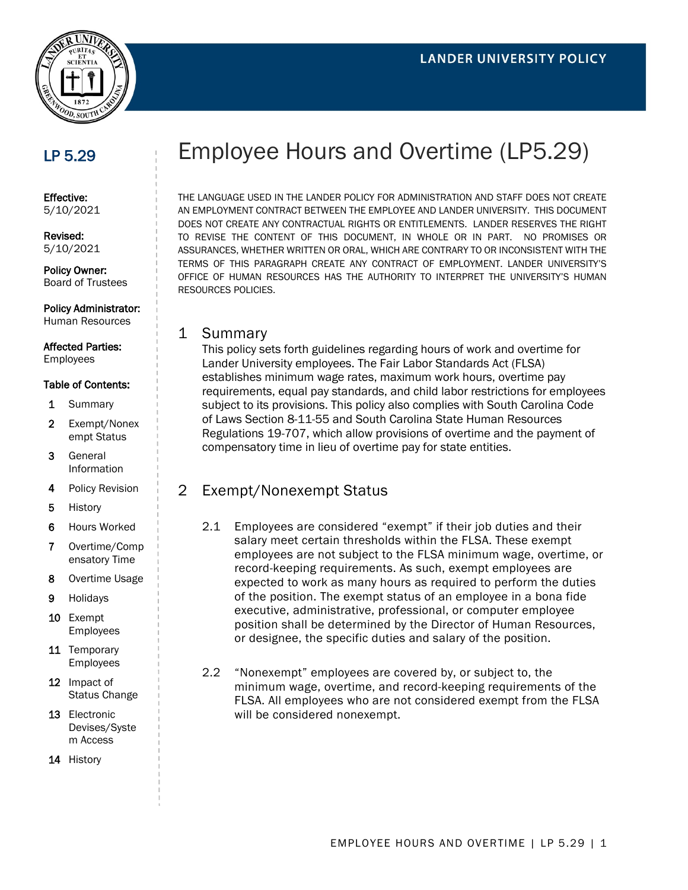

## LP 5.29

Effective: 5/10/2021

Revised: 5/10/2021

Policy Owner: Board of Trustees

Policy Administrator: Human Resources

Affected Parties: Employees

#### Table of Contents:

- 1 Summary
- 2 Exempt/Nonex empt Status
- 3 General Information
- 4 Policy Revision
- 5 History
- 6 Hours Worked
- 7 Overtime/Comp ensatory Time
- 8 Overtime Usage
- 9 Holidays
- 10 Exempt Employees
- 11 Temporary Employees
- 12 Impact of Status Change
- 13 Electronic Devises/Syste m Access
- 14 History

# Employee Hours and Overtime (LP5.29)

THE LANGUAGE USED IN THE LANDER POLICY FOR ADMINISTRATION AND STAFF DOES NOT CREATE AN EMPLOYMENT CONTRACT BETWEEN THE EMPLOYEE AND LANDER UNIVERSITY. THIS DOCUMENT DOES NOT CREATE ANY CONTRACTUAL RIGHTS OR ENTITLEMENTS. LANDER RESERVES THE RIGHT TO REVISE THE CONTENT OF THIS DOCUMENT, IN WHOLE OR IN PART. NO PROMISES OR ASSURANCES, WHETHER WRITTEN OR ORAL, WHICH ARE CONTRARY TO OR INCONSISTENT WITH THE TERMS OF THIS PARAGRAPH CREATE ANY CONTRACT OF EMPLOYMENT. LANDER UNIVERSITY'S OFFICE OF HUMAN RESOURCES HAS THE AUTHORITY TO INTERPRET THE UNIVERSITY'S HUMAN RESOURCES POLICIES.

#### 1 Summary

This policy sets forth guidelines regarding hours of work and overtime for Lander University employees. The Fair Labor Standards Act (FLSA) establishes minimum wage rates, maximum work hours, overtime pay requirements, equal pay standards, and child labor restrictions for employees subject to its provisions. This policy also complies with South Carolina Code of Laws Section 8-11-55 and South Carolina State Human Resources Regulations 19-707, which allow provisions of overtime and the payment of compensatory time in lieu of overtime pay for state entities.

### 2 Exempt/Nonexempt Status

- 2.1 Employees are considered "exempt" if their job duties and their salary meet certain thresholds within the FLSA. These exempt employees are not subject to the FLSA minimum wage, overtime, or record-keeping requirements. As such, exempt employees are expected to work as many hours as required to perform the duties of the position. The exempt status of an employee in a bona fide executive, administrative, professional, or computer employee position shall be determined by the Director of Human Resources, or designee, the specific duties and salary of the position.
- 2.2 "Nonexempt" employees are covered by, or subject to, the minimum wage, overtime, and record-keeping requirements of the FLSA. All employees who are not considered exempt from the FLSA will be considered nonexempt.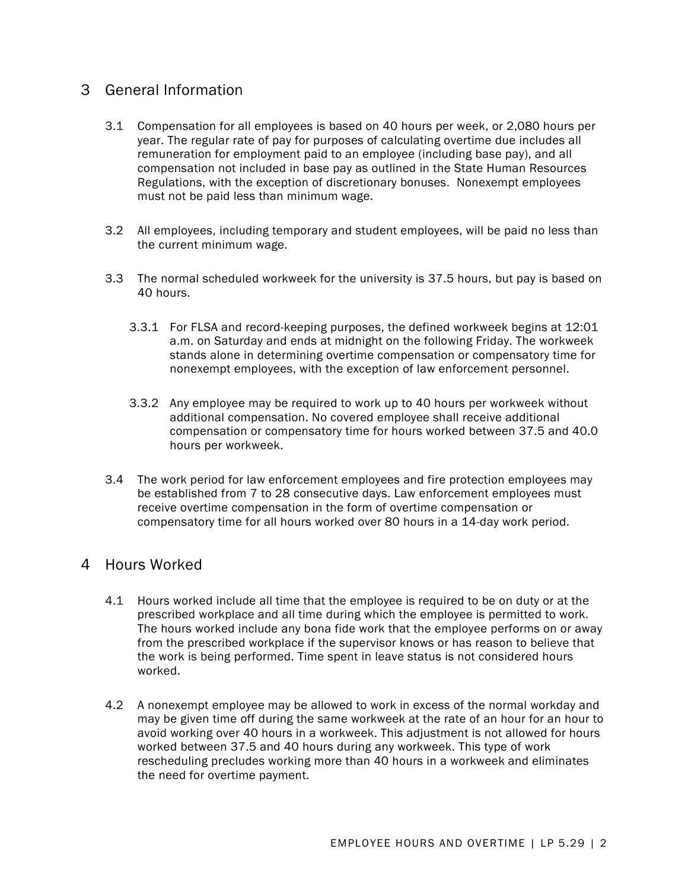### 3 General Information

- 3.1 Compensation for all employees is based on 40 hours per week, or 2,080 hours per year. The regular rate of pay for purposes of calculating overtime due includes all remuneration for employment paid to an employee (including base pay), and all compensation not included in base pay as outlined in the State Human Resources Regulations, with the exception of discretionary bonuses. Nonexempt employees must not be paid less than minimum wage.
- 3.2 All employees, including temporary and student employees, will be paid no less than the current minimum wage.
- 3.3 The normal scheduled workweek for the university is 37.5 hours, but pay is based on 40 hours.
	- 3.3.1 For FLSA and record-keeping purposes, the defined workweek begins at 12:01 a.m. on Saturday and ends at midnight on the following Friday. The workweek stands alone in determining overtime compensation or compensatory time for nonexempt employees, with the exception of law enforcement personnel.
	- 3.3.2 Any employee may be required to work up to 40 hours per workweek without additional compensation. No covered employee shall receive additional compensation or compensatory time for hours worked between 37.5 and 40.0 hours per workweek.
- 3.4 The work period for law enforcement employees and fire protection employees may be established from 7 to 28 consecutive days. Law enforcement employees must receive overtime compensation in the form of overtime compensation or compensatory time for all hours worked over 80 hours in a 14-day work period.

#### 4 Hours Worked

- 4.1 Hours worked include all time that the employee is required to be on duty or at the prescribed workplace and all time during which the employee is permitted to work. The hours worked include any bona fide work that the employee performs on or away from the prescribed workplace if the supervisor knows or has reason to believe that the work is being performed. Time spent in leave status is not considered hours worked.
- 4.2 A nonexempt employee may be allowed to work in excess of the normal workday and may be given time off during the same workweek at the rate of an hour for an hour to avoid working over 40 hours in a workweek. This adjustment is not allowed for hours worked between 37.5 and 40 hours during any workweek. This type of work rescheduling precludes working more than 40 hours in a workweek and eliminates the need for overtime payment.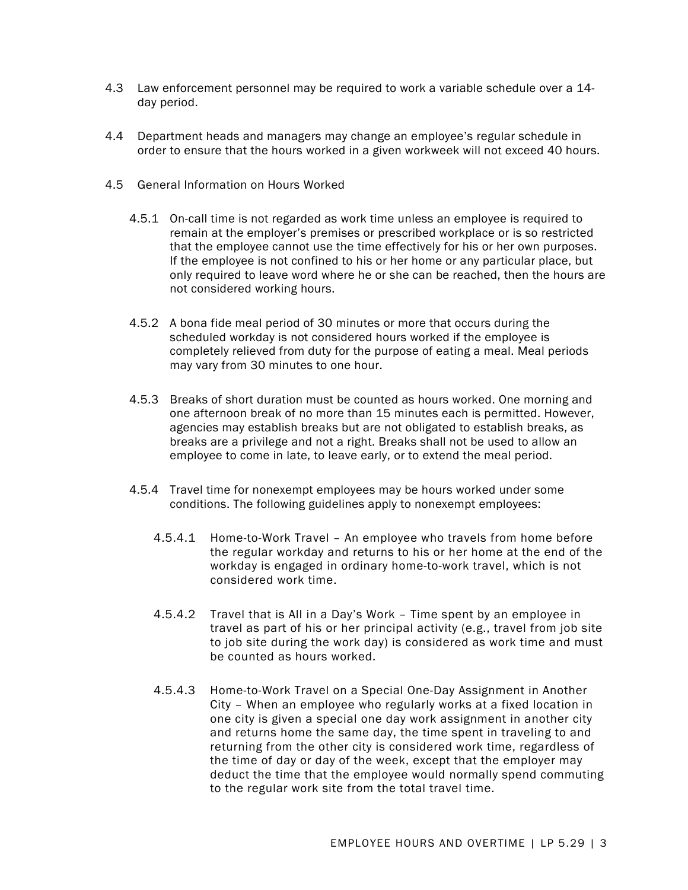- 4.3 Law enforcement personnel may be required to work a variable schedule over a 14 day period.
- 4.4 Department heads and managers may change an employee's regular schedule in order to ensure that the hours worked in a given workweek will not exceed 40 hours.
- 4.5 General Information on Hours Worked
	- 4.5.1 On-call time is not regarded as work time unless an employee is required to remain at the employer's premises or prescribed workplace or is so restricted that the employee cannot use the time effectively for his or her own purposes. If the employee is not confined to his or her home or any particular place, but only required to leave word where he or she can be reached, then the hours are not considered working hours.
	- 4.5.2 A bona fide meal period of 30 minutes or more that occurs during the scheduled workday is not considered hours worked if the employee is completely relieved from duty for the purpose of eating a meal. Meal periods may vary from 30 minutes to one hour.
	- 4.5.3 Breaks of short duration must be counted as hours worked. One morning and one afternoon break of no more than 15 minutes each is permitted. However, agencies may establish breaks but are not obligated to establish breaks, as breaks are a privilege and not a right. Breaks shall not be used to allow an employee to come in late, to leave early, or to extend the meal period.
	- 4.5.4 Travel time for nonexempt employees may be hours worked under some conditions. The following guidelines apply to nonexempt employees:
		- 4.5.4.1 Home-to-Work Travel An employee who travels from home before the regular workday and returns to his or her home at the end of the workday is engaged in ordinary home-to-work travel, which is not considered work time.
		- 4.5.4.2 Travel that is All in a Day's Work Time spent by an employee in travel as part of his or her principal activity (e.g., travel from job site to job site during the work day) is considered as work time and must be counted as hours worked.
		- 4.5.4.3 Home-to-Work Travel on a Special One-Day Assignment in Another City – When an employee who regularly works at a fixed location in one city is given a special one day work assignment in another city and returns home the same day, the time spent in traveling to and returning from the other city is considered work time, regardless of the time of day or day of the week, except that the employer may deduct the time that the employee would normally spend commuting to the regular work site from the total travel time.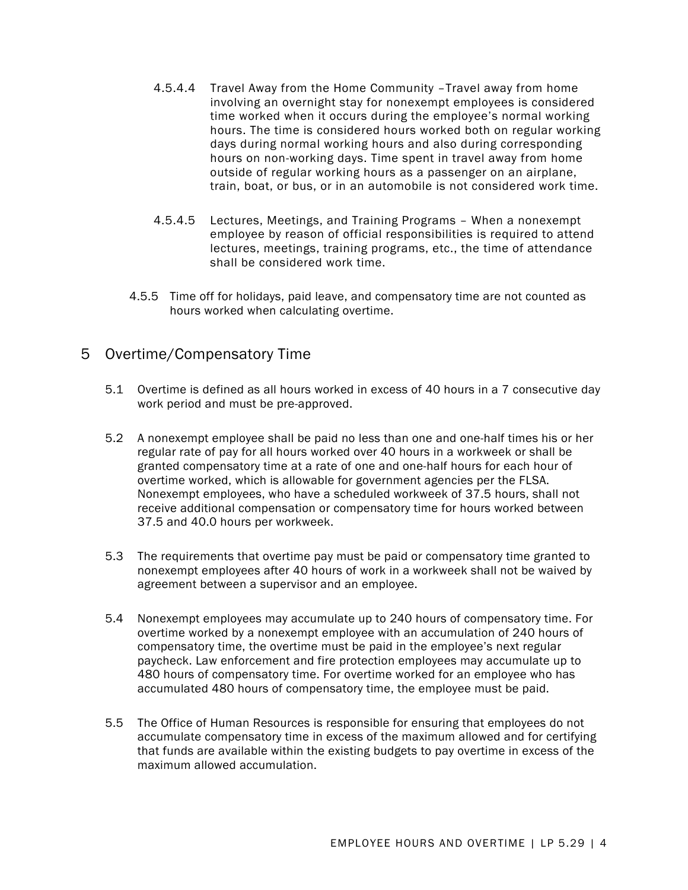- 4.5.4.4 Travel Away from the Home Community –Travel away from home involving an overnight stay for nonexempt employees is considered time worked when it occurs during the employee's normal working hours. The time is considered hours worked both on regular working days during normal working hours and also during corresponding hours on non-working days. Time spent in travel away from home outside of regular working hours as a passenger on an airplane, train, boat, or bus, or in an automobile is not considered work time.
- 4.5.4.5 Lectures, Meetings, and Training Programs When a nonexempt employee by reason of official responsibilities is required to attend lectures, meetings, training programs, etc., the time of attendance shall be considered work time.
- 4.5.5 Time off for holidays, paid leave, and compensatory time are not counted as hours worked when calculating overtime.

### 5 Overtime/Compensatory Time

- 5.1 Overtime is defined as all hours worked in excess of 40 hours in a 7 consecutive day work period and must be pre-approved.
- 5.2 A nonexempt employee shall be paid no less than one and one-half times his or her regular rate of pay for all hours worked over 40 hours in a workweek or shall be granted compensatory time at a rate of one and one-half hours for each hour of overtime worked, which is allowable for government agencies per the FLSA. Nonexempt employees, who have a scheduled workweek of 37.5 hours, shall not receive additional compensation or compensatory time for hours worked between 37.5 and 40.0 hours per workweek.
- 5.3 The requirements that overtime pay must be paid or compensatory time granted to nonexempt employees after 40 hours of work in a workweek shall not be waived by agreement between a supervisor and an employee.
- 5.4 Nonexempt employees may accumulate up to 240 hours of compensatory time. For overtime worked by a nonexempt employee with an accumulation of 240 hours of compensatory time, the overtime must be paid in the employee's next regular paycheck. Law enforcement and fire protection employees may accumulate up to 480 hours of compensatory time. For overtime worked for an employee who has accumulated 480 hours of compensatory time, the employee must be paid.
- 5.5 The Office of Human Resources is responsible for ensuring that employees do not accumulate compensatory time in excess of the maximum allowed and for certifying that funds are available within the existing budgets to pay overtime in excess of the maximum allowed accumulation.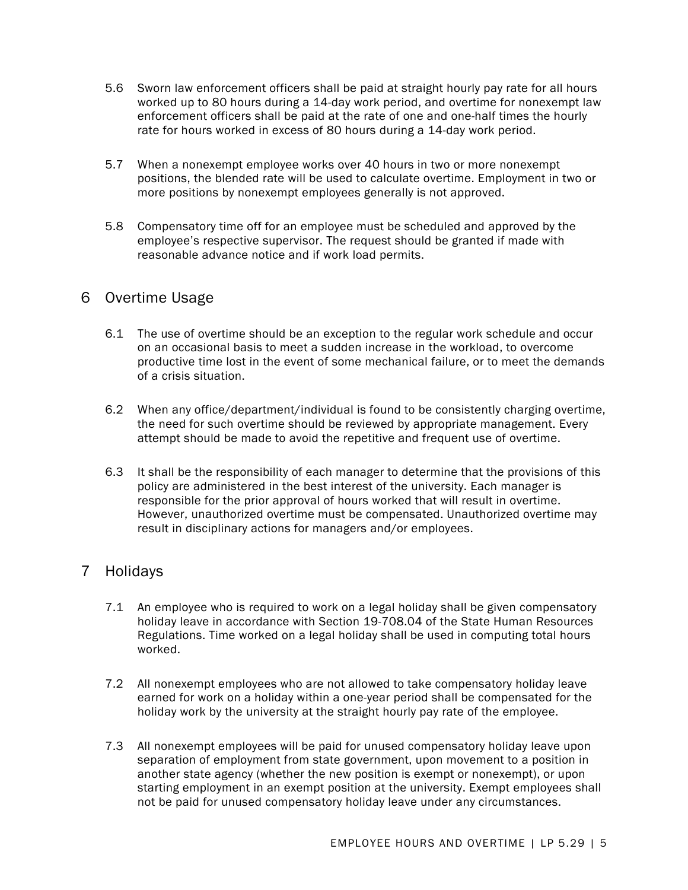- 5.6 Sworn law enforcement officers shall be paid at straight hourly pay rate for all hours worked up to 80 hours during a 14-day work period, and overtime for nonexempt law enforcement officers shall be paid at the rate of one and one-half times the hourly rate for hours worked in excess of 80 hours during a 14-day work period.
- 5.7 When a nonexempt employee works over 40 hours in two or more nonexempt positions, the blended rate will be used to calculate overtime. Employment in two or more positions by nonexempt employees generally is not approved.
- 5.8 Compensatory time off for an employee must be scheduled and approved by the employee's respective supervisor. The request should be granted if made with reasonable advance notice and if work load permits.

### 6 Overtime Usage

- 6.1 The use of overtime should be an exception to the regular work schedule and occur on an occasional basis to meet a sudden increase in the workload, to overcome productive time lost in the event of some mechanical failure, or to meet the demands of a crisis situation.
- 6.2 When any office/department/individual is found to be consistently charging overtime, the need for such overtime should be reviewed by appropriate management. Every attempt should be made to avoid the repetitive and frequent use of overtime.
- 6.3 It shall be the responsibility of each manager to determine that the provisions of this policy are administered in the best interest of the university. Each manager is responsible for the prior approval of hours worked that will result in overtime. However, unauthorized overtime must be compensated. Unauthorized overtime may result in disciplinary actions for managers and/or employees.

### 7 Holidays

- 7.1 An employee who is required to work on a legal holiday shall be given compensatory holiday leave in accordance with Section 19-708.04 of the State Human Resources Regulations. Time worked on a legal holiday shall be used in computing total hours worked.
- 7.2 All nonexempt employees who are not allowed to take compensatory holiday leave earned for work on a holiday within a one-year period shall be compensated for the holiday work by the university at the straight hourly pay rate of the employee.
- 7.3 All nonexempt employees will be paid for unused compensatory holiday leave upon separation of employment from state government, upon movement to a position in another state agency (whether the new position is exempt or nonexempt), or upon starting employment in an exempt position at the university. Exempt employees shall not be paid for unused compensatory holiday leave under any circumstances.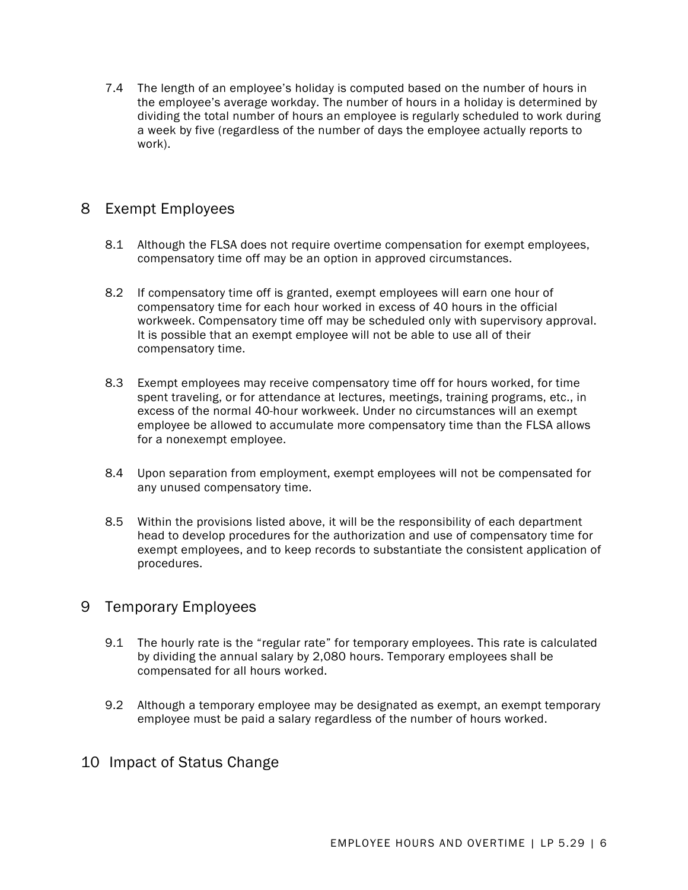7.4 The length of an employee's holiday is computed based on the number of hours in the employee's average workday. The number of hours in a holiday is determined by dividing the total number of hours an employee is regularly scheduled to work during a week by five (regardless of the number of days the employee actually reports to work).

## 8 Exempt Employees

- 8.1 Although the FLSA does not require overtime compensation for exempt employees, compensatory time off may be an option in approved circumstances.
- 8.2 If compensatory time off is granted, exempt employees will earn one hour of compensatory time for each hour worked in excess of 40 hours in the official workweek. Compensatory time off may be scheduled only with supervisory approval. It is possible that an exempt employee will not be able to use all of their compensatory time.
- 8.3 Exempt employees may receive compensatory time off for hours worked, for time spent traveling, or for attendance at lectures, meetings, training programs, etc., in excess of the normal 40-hour workweek. Under no circumstances will an exempt employee be allowed to accumulate more compensatory time than the FLSA allows for a nonexempt employee.
- 8.4 Upon separation from employment, exempt employees will not be compensated for any unused compensatory time.
- 8.5 Within the provisions listed above, it will be the responsibility of each department head to develop procedures for the authorization and use of compensatory time for exempt employees, and to keep records to substantiate the consistent application of procedures.

### 9 Temporary Employees

- 9.1 The hourly rate is the "regular rate" for temporary employees. This rate is calculated by dividing the annual salary by 2,080 hours. Temporary employees shall be compensated for all hours worked.
- 9.2 Although a temporary employee may be designated as exempt, an exempt temporary employee must be paid a salary regardless of the number of hours worked.

### 10 Impact of Status Change